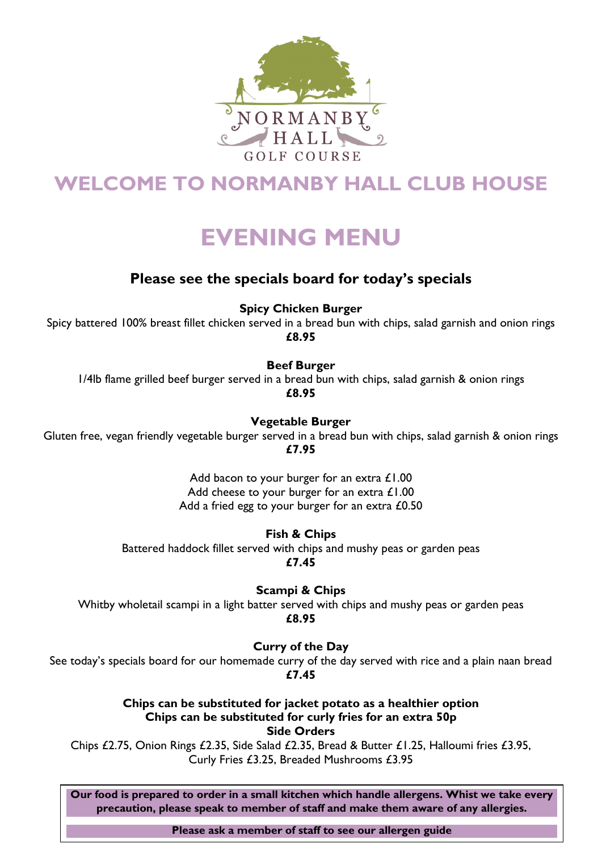

## **WELCOME TO NORMANBY HALL CLUB HOUSE**

# **EVENING MENU**

### **Please see the specials board for today's specials**

**Spicy Chicken Burger**

Spicy battered 100% breast fillet chicken served in a bread bun with chips, salad garnish and onion rings **£8.95**

**Beef Burger**

1/4lb flame grilled beef burger served in a bread bun with chips, salad garnish & onion rings **£8.95**

**Vegetable Burger**

Gluten free, vegan friendly vegetable burger served in a bread bun with chips, salad garnish & onion rings **£7.95**

> Add bacon to your burger for an extra £1.00 Add cheese to your burger for an extra £1.00 Add a fried egg to your burger for an extra £0.50

> > **Fish & Chips**

Battered haddock fillet served with chips and mushy peas or garden peas **£7.45**

**Scampi & Chips** 

Whitby wholetail scampi in a light batter served with chips and mushy peas or garden peas **£8.95**

**Curry of the Day** 

See today's specials board for our homemade curry of the day served with rice and a plain naan bread **£7.45**

> **Chips can be substituted for jacket potato as a healthier option Chips can be substituted for curly fries for an extra 50p Side Orders**

Chips £2.75, Onion Rings £2.35, Side Salad £2.35, Bread & Butter £1.25, Halloumi fries £3.95, Curly Fries £3.25, Breaded Mushrooms £3.95

**Our food is prepared to order in a small kitchen which handle allergens. Whist we take every precaution, please speak to member of staff and make them aware of any allergies.**

**Please ask a member of staff to see our allergen guide**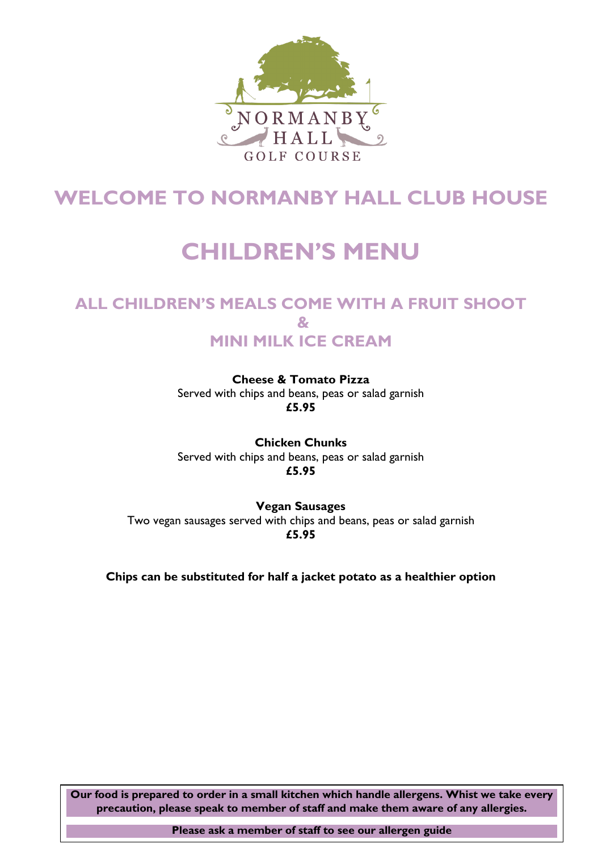

## **WELCOME TO NORMANBY HALL CLUB HOUSE**

# **CHILDREN'S MENU**

### **ALL CHILDREN'S MEALS COME WITH A FRUIT SHOOT & MINI MILK ICE CREAM**

**Cheese & Tomato Pizza** Served with chips and beans, peas or salad garnish **£5.95**

**Chicken Chunks** Served with chips and beans, peas or salad garnish **£5.95**

**Vegan Sausages** Two vegan sausages served with chips and beans, peas or salad garnish **£5.95**

**Chips can be substituted for half a jacket potato as a healthier option**

**Our food is prepared to order in a small kitchen which handle allergens. Whist we take every precaution, please speak to member of staff and make them aware of any allergies.**

**Please ask a member of staff to see our allergen guide**